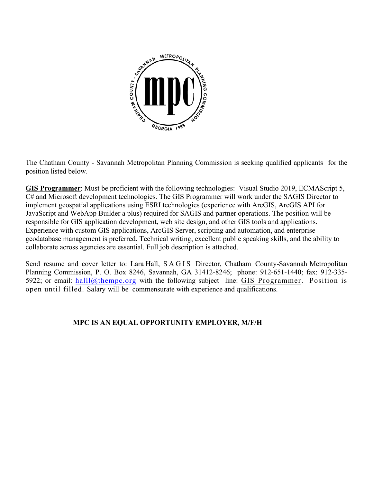

The Chatham County - Savannah Metropolitan Planning Commission is seeking qualified applicants for the position listed below.

**GIS Programmer**: Must be proficient with the following technologies: Visual Studio 2019, ECMAScript 5, C# and Microsoft development technologies. The GIS Programmer will work under the SAGIS Director to implement geospatial applications using ESRI technologies (experience with ArcGIS, ArcGIS API for JavaScript and WebApp Builder a plus) required for SAGIS and partner operations. The position will be responsible for GIS application development, web site design, and other GIS tools and applications. Experience with custom GIS applications, ArcGIS Server, scripting and automation, and enterprise geodatabase management is preferred. Technical writing, excellent public speaking skills, and the ability to collaborate across agencies are essential. Full job description is attached.

Send resume and cover letter to: Lara Hall, SAGIS Director, Chatham County-Savannah Metropolitan Planning Commission, P. O. Box 8246, Savannah, GA 31412-8246; phone: 912-651-1440; fax: 912-335 5922; or email: [halll@thempc.org](mailto:halll@thempc.org) with the following subject line: GIS Programmer. Position is open until filled. Salary will be commensurate with experience and qualifications.

# **MPC IS AN EQUAL OPPORTUNITY EMPLOYER, M/F/H**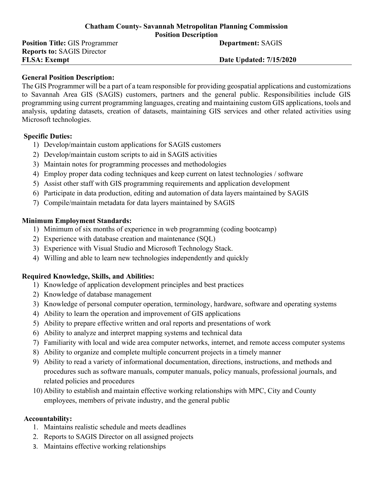#### **Chatham County- Savannah Metropolitan Planning Commission Position Description**

**Position Title: GIS Programmer <b>Department: SAGIS Reports to:** SAGIS Director **FLSA: Exempt Date Updated: 7/15/2020** 

#### **General Position Description:**

The GIS Programmer will be a part of a team responsible for providing geospatial applications and customizations to Savannah Area GIS (SAGIS) customers, partners and the general public. Responsibilities include GIS programming using current programming languages, creating and maintaining custom GIS applications, tools and analysis, updating datasets, creation of datasets, maintaining GIS services and other related activities using Microsoft technologies.

#### **Specific Duties:**

- 1) Develop/maintain custom applications for SAGIS customers
- 2) Develop/maintain custom scripts to aid in SAGIS activities
- 3) Maintain notes for programming processes and methodologies
- 4) Employ proper data coding techniques and keep current on latest technologies / software
- 5) Assist other staff with GIS programming requirements and application development
- 6) Participate in data production, editing and automation of data layers maintained by SAGIS
- 7) Compile/maintain metadata for data layers maintained by SAGIS

### **Minimum Employment Standards:**

- 1) Minimum of six months of experience in web programming (coding bootcamp)
- 2) Experience with database creation and maintenance (SQL)
- 3) Experience with Visual Studio and Microsoft Technology Stack.
- 4) Willing and able to learn new technologies independently and quickly

### **Required Knowledge, Skills, and Abilities:**

- 1) Knowledge of application development principles and best practices
- 2) Knowledge of database management
- 3) Knowledge of personal computer operation, terminology, hardware, software and operating systems
- 4) Ability to learn the operation and improvement of GIS applications
- 5) Ability to prepare effective written and oral reports and presentations of work
- 6) Ability to analyze and interpret mapping systems and technical data
- 7) Familiarity with local and wide area computer networks, internet, and remote access computer systems
- 8) Ability to organize and complete multiple concurrent projects in a timely manner
- 9) Ability to read a variety of informational documentation, directions, instructions, and methods and procedures such as software manuals, computer manuals, policy manuals, professional journals, and related policies and procedures
- 10) Ability to establish and maintain effective working relationships with MPC, City and County employees, members of private industry, and the general public

# **Accountability:**

- 1. Maintains realistic schedule and meets deadlines
- 2. Reports to SAGIS Director on all assigned projects
- 3. Maintains effective working relationships